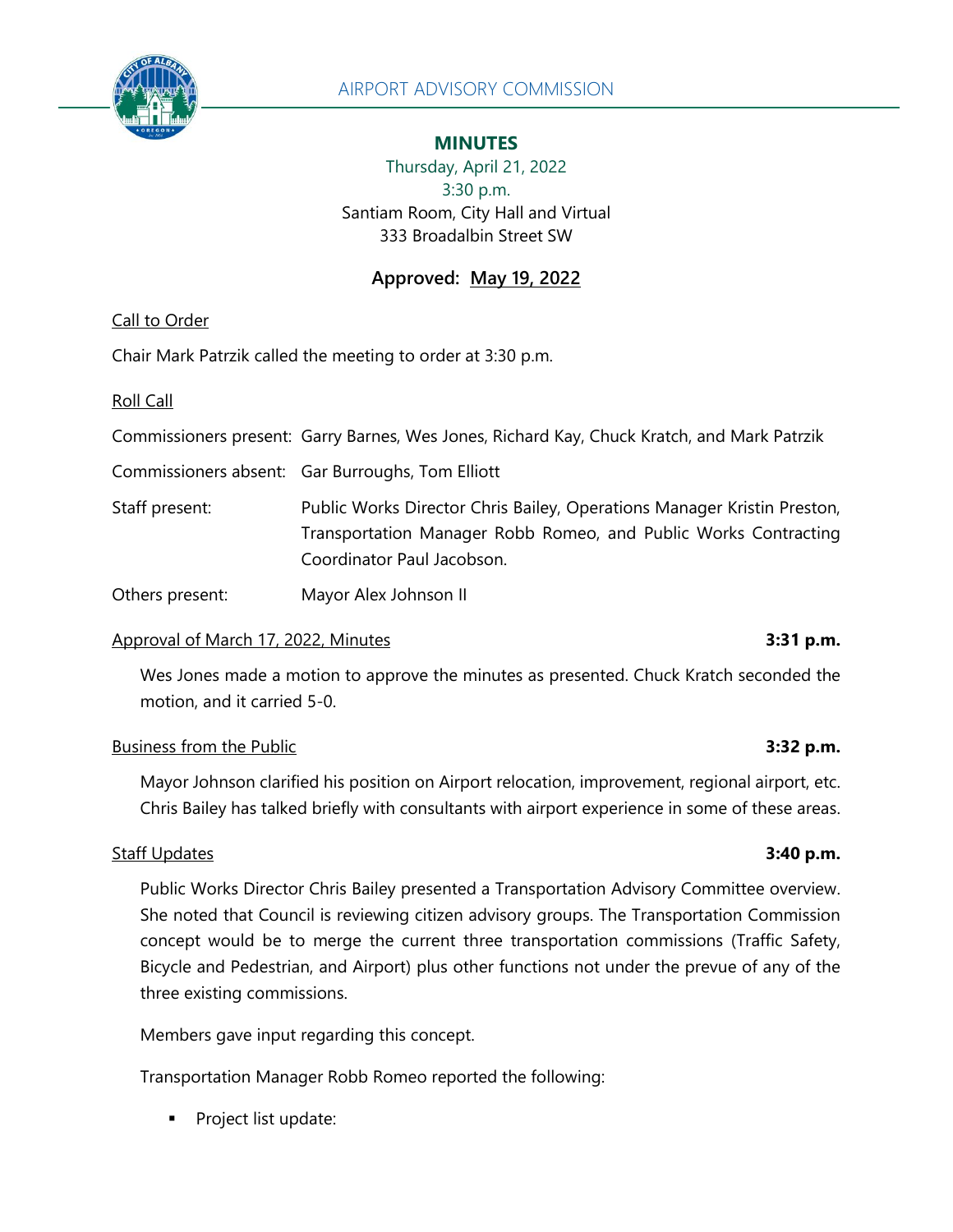

## **MINUTES**

Thursday, April 21, 2022 3:30 p.m. Santiam Room, City Hall and Virtual 333 Broadalbin Street SW

# **Approved: May 19, 2022**

Call to Order

Chair Mark Patrzik called the meeting to order at 3:30 p.m.

Roll Call

Commissioners present: Garry Barnes, Wes Jones, Richard Kay, Chuck Kratch, and Mark Patrzik

Commissioners absent: Gar Burroughs, Tom Elliott

Staff present: Public Works Director Chris Bailey, Operations Manager Kristin Preston, Transportation Manager Robb Romeo, and Public Works Contracting Coordinator Paul Jacobson.

Others present: Mayor Alex Johnson II

## Approval of March 17, 2022, Minutes **3:31 p.m.**

Wes Jones made a motion to approve the minutes as presented. Chuck Kratch seconded the motion, and it carried 5-0.

## Business from the Public **3:32 p.m.**

Mayor Johnson clarified his position on Airport relocation, improvement, regional airport, etc. Chris Bailey has talked briefly with consultants with airport experience in some of these areas.

## Staff Updates **3:40 p.m.**

Public Works Director Chris Bailey presented a Transportation Advisory Committee overview. She noted that Council is reviewing citizen advisory groups. The Transportation Commission concept would be to merge the current three transportation commissions (Traffic Safety, Bicycle and Pedestrian, and Airport) plus other functions not under the prevue of any of the three existing commissions.

Members gave input regarding this concept.

Transportation Manager Robb Romeo reported the following:

Project list update: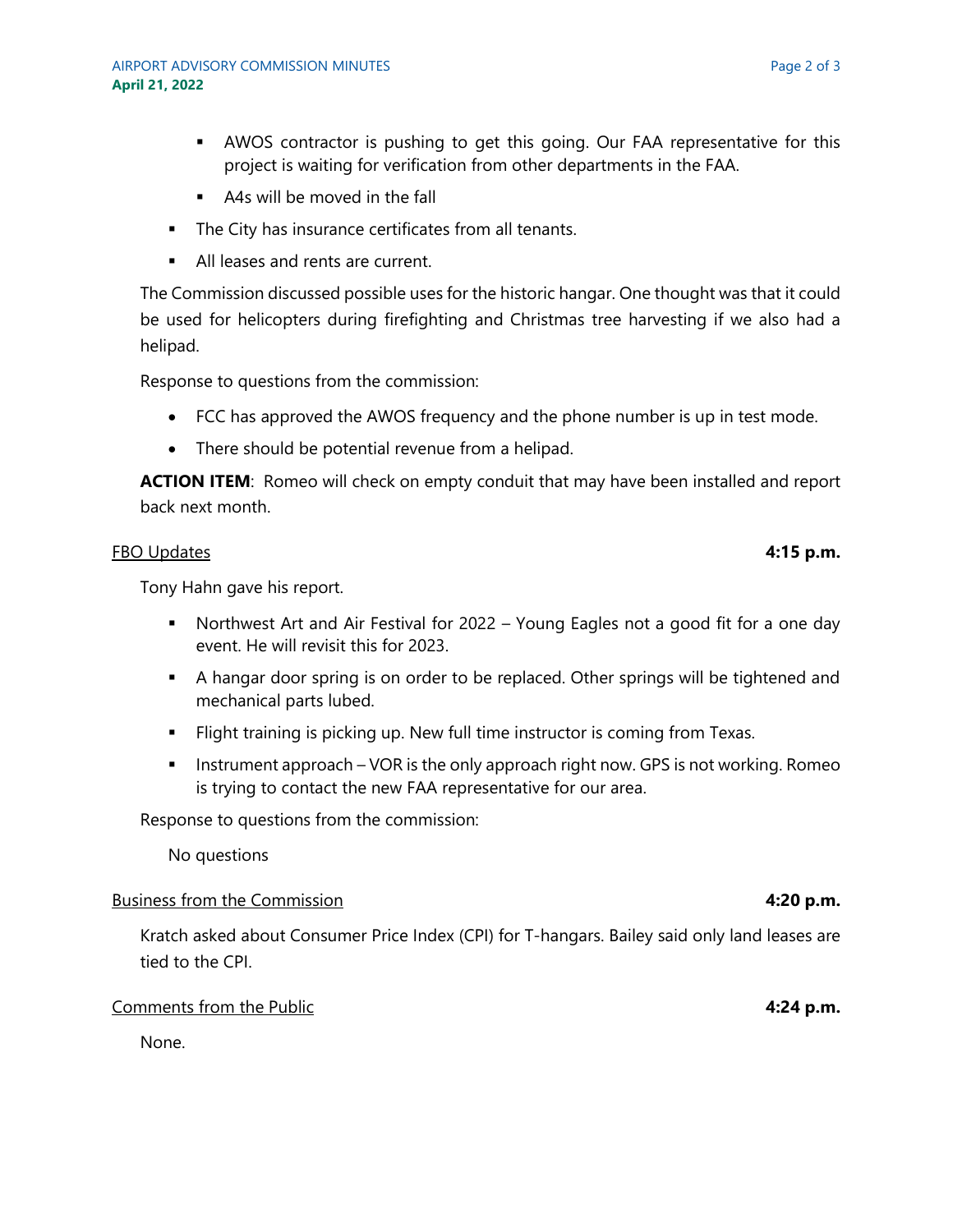- **EXECOS** contractor is pushing to get this going. Our FAA representative for this project is waiting for verification from other departments in the FAA.
- A4s will be moved in the fall
- **•** The City has insurance certificates from all tenants.
- All leases and rents are current.

The Commission discussed possible uses for the historic hangar. One thought was that it could be used for helicopters during firefighting and Christmas tree harvesting if we also had a helipad.

Response to questions from the commission:

- FCC has approved the AWOS frequency and the phone number is up in test mode.
- There should be potential revenue from a helipad.

**ACTION ITEM:** Romeo will check on empty conduit that may have been installed and report back next month.

### FBO Updates **4:15 p.m.**

Tony Hahn gave his report.

- **■** Northwest Art and Air Festival for 2022 Young Eagles not a good fit for a one day event. He will revisit this for 2023.
- A hangar door spring is on order to be replaced. Other springs will be tightened and mechanical parts lubed.
- **EXTER:** Flight training is picking up. New full time instructor is coming from Texas.
- **EXED Instrument approach VOR is the only approach right now. GPS is not working. Romeo** is trying to contact the new FAA representative for our area.

Response to questions from the commission:

No questions

### Business from the Commission **4:20 p.m.**

Kratch asked about Consumer Price Index (CPI) for T-hangars. Bailey said only land leases are tied to the CPI.

### Comments from the Public **4:24 p.m.**

None.